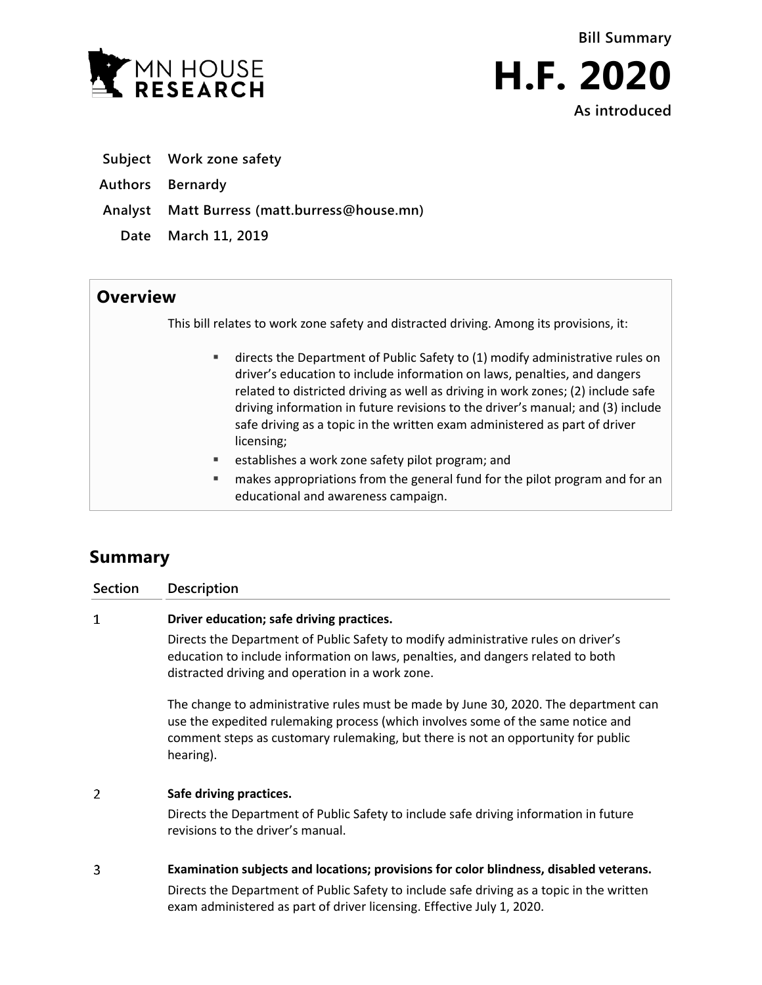



- **Subject Work zone safety**
- **Authors Bernardy**
- **Analyst Matt Burress (matt.burress@house.mn)**
	- **Date March 11, 2019**

## **Overview**

This bill relates to work zone safety and distracted driving. Among its provisions, it:

- directs the Department of Public Safety to (1) modify administrative rules on driver's education to include information on laws, penalties, and dangers related to districted driving as well as driving in work zones; (2) include safe driving information in future revisions to the driver's manual; and (3) include safe driving as a topic in the written exam administered as part of driver licensing;
- **EXECTED EXECTED EXECTED EXECTED** establishes a work zone safety pilot program; and
- makes appropriations from the general fund for the pilot program and for an educational and awareness campaign.

# **Summary**

### **Section Description**

#### $\mathbf{1}$ **Driver education; safe driving practices.**

Directs the Department of Public Safety to modify administrative rules on driver's education to include information on laws, penalties, and dangers related to both distracted driving and operation in a work zone.

The change to administrative rules must be made by June 30, 2020. The department can use the expedited rulemaking process (which involves some of the same notice and comment steps as customary rulemaking, but there is not an opportunity for public hearing).

#### $\overline{2}$ **Safe driving practices.**

Directs the Department of Public Safety to include safe driving information in future revisions to the driver's manual.

#### 3 **Examination subjects and locations; provisions for color blindness, disabled veterans.**

Directs the Department of Public Safety to include safe driving as a topic in the written exam administered as part of driver licensing. Effective July 1, 2020.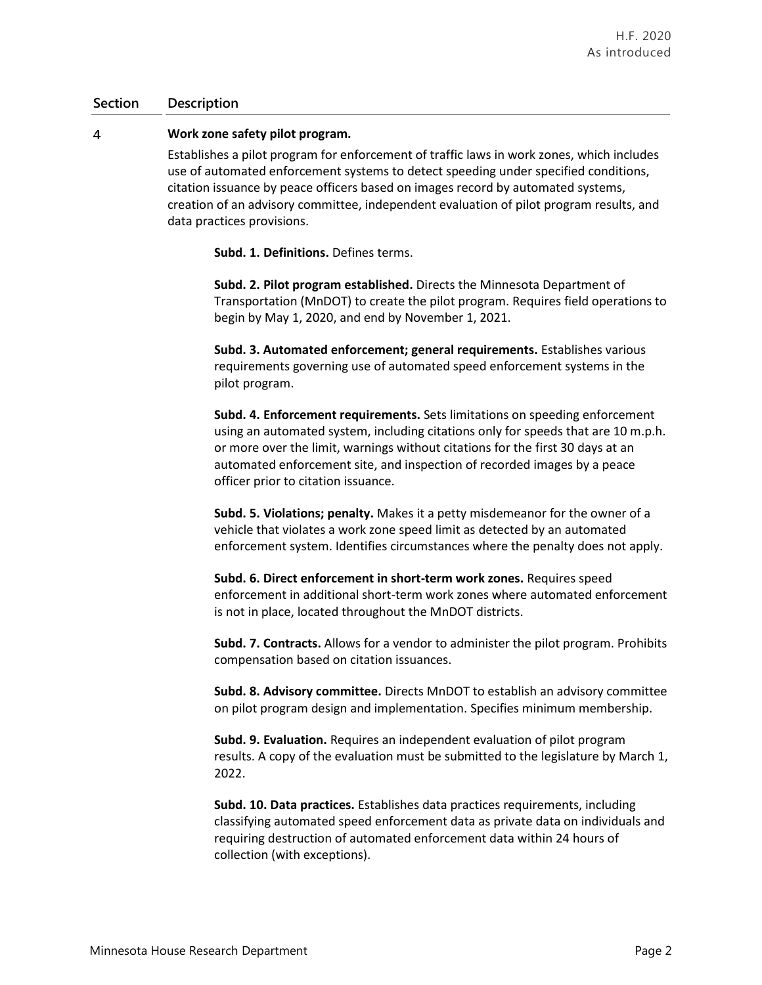### **Section Description**

#### $\overline{4}$ **Work zone safety pilot program.**

Establishes a pilot program for enforcement of traffic laws in work zones, which includes use of automated enforcement systems to detect speeding under specified conditions, citation issuance by peace officers based on images record by automated systems, creation of an advisory committee, independent evaluation of pilot program results, and data practices provisions.

**Subd. 1. Definitions.** Defines terms.

**Subd. 2. Pilot program established.** Directs the Minnesota Department of Transportation (MnDOT) to create the pilot program. Requires field operations to begin by May 1, 2020, and end by November 1, 2021.

**Subd. 3. Automated enforcement; general requirements.** Establishes various requirements governing use of automated speed enforcement systems in the pilot program.

**Subd. 4. Enforcement requirements.** Sets limitations on speeding enforcement using an automated system, including citations only for speeds that are 10 m.p.h. or more over the limit, warnings without citations for the first 30 days at an automated enforcement site, and inspection of recorded images by a peace officer prior to citation issuance.

**Subd. 5. Violations; penalty.** Makes it a petty misdemeanor for the owner of a vehicle that violates a work zone speed limit as detected by an automated enforcement system. Identifies circumstances where the penalty does not apply.

**Subd. 6. Direct enforcement in short-term work zones.** Requires speed enforcement in additional short-term work zones where automated enforcement is not in place, located throughout the MnDOT districts.

**Subd. 7. Contracts.** Allows for a vendor to administer the pilot program. Prohibits compensation based on citation issuances.

**Subd. 8. Advisory committee.** Directs MnDOT to establish an advisory committee on pilot program design and implementation. Specifies minimum membership.

**Subd. 9. Evaluation.** Requires an independent evaluation of pilot program results. A copy of the evaluation must be submitted to the legislature by March 1, 2022.

**Subd. 10. Data practices.** Establishes data practices requirements, including classifying automated speed enforcement data as private data on individuals and requiring destruction of automated enforcement data within 24 hours of collection (with exceptions).